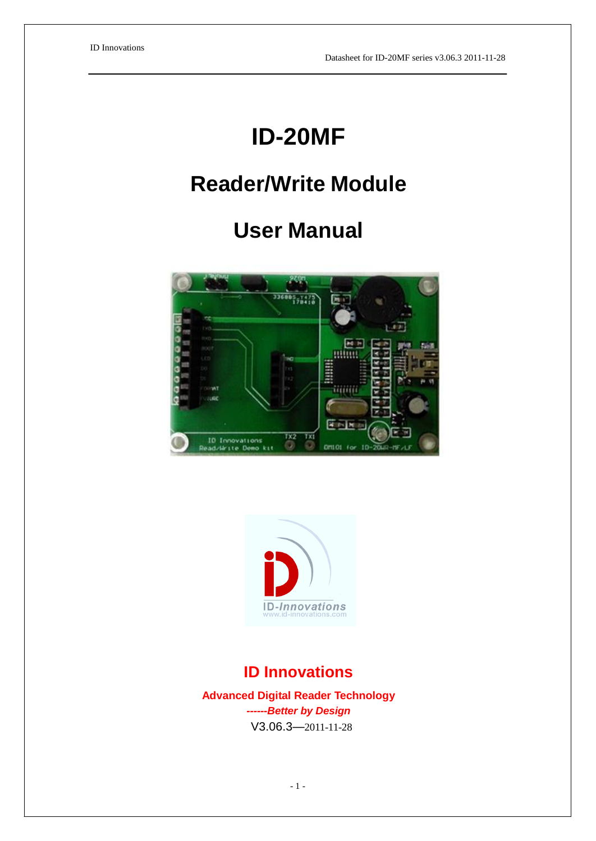# **ID-20MF**

# **Reader/Write Module**

# **User Manual**





# **ID Innovations**

**Advanced Digital Reader Technology** *------Better by Design* V3.06.3—2011-11-28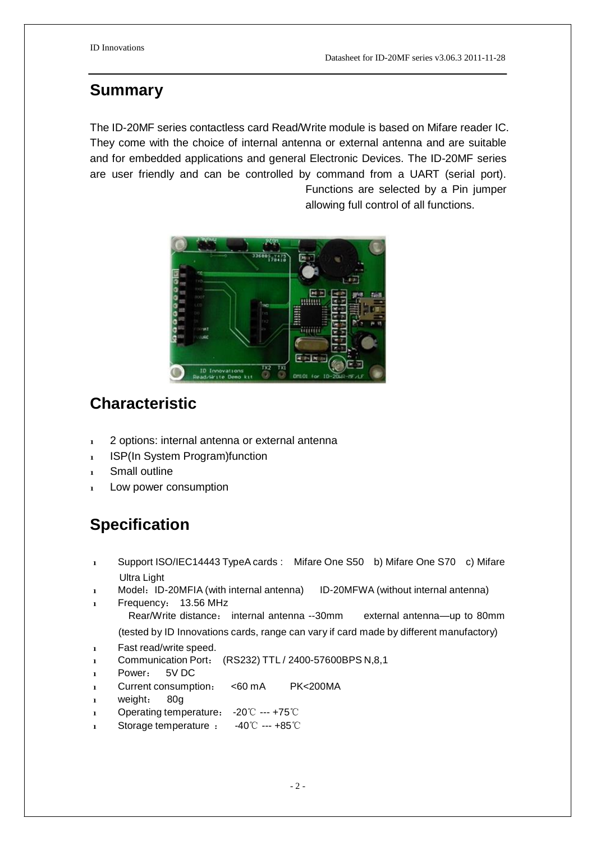#### **Summary**

The ID-20MF series contactless card Read/Write module is based on Mifare reader IC. They come with the choice of internal antenna or external antenna and are suitable and for embedded applications and general Electronic Devices. The ID-20MF series are user friendly and can be controlled by command from a UART (serial port). Functions are selected by a Pin jumper

allowing full control of all functions.



### **Characteristic**

- $\frac{1}{2}$  2 options: internal antenna or external antenna
- 1 ISP(In System Program)function
- 1 Small outline
- 1 Low power consumption

## **Specification**

- 1 Support ISO/IEC14443 TypeA cards : Mifare One S50 b) Mifare One S70 c) Mifare Ultra Light
- 1 Model: ID-20MFIA (with internal antenna) ID-20MFWA (without internal antenna)
- 1 Frequency: 13.56 MHz
	- Rear/Write distance: internal antenna --30mm external antenna—up to 80mm (tested by ID Innovations cards, range can vary if card made by different manufactory)
- 1 Fast read/write speed.
- l Communication Port: (RS232) TTL / 2400-57600BPS N,8,1
- Power: 5V DC
- 1 Current consumption: <60 mA PK<200MA
- weight: 80g
- l Operating temperature: -20℃ --- +75℃
- l Storage temperature : -40℃ --- +85℃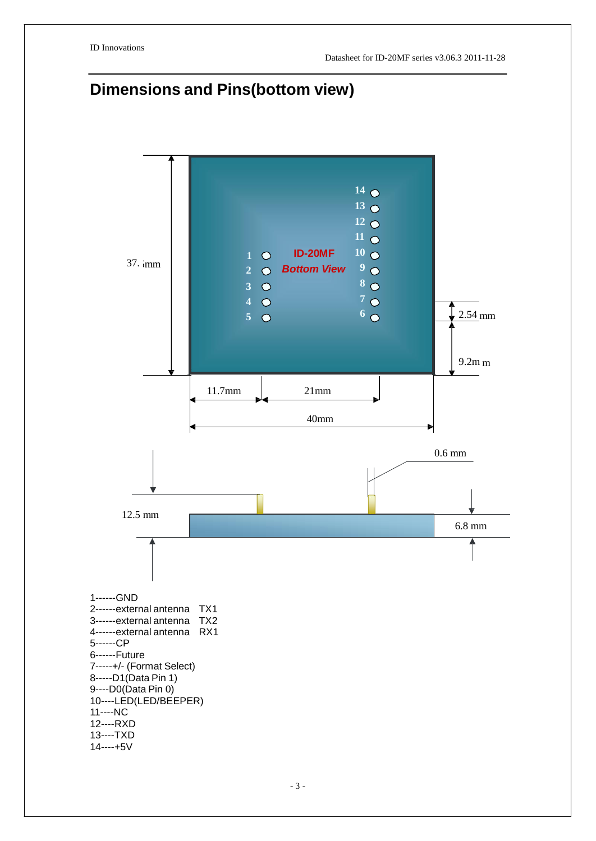# **Dimensions and Pins(bottom view)**

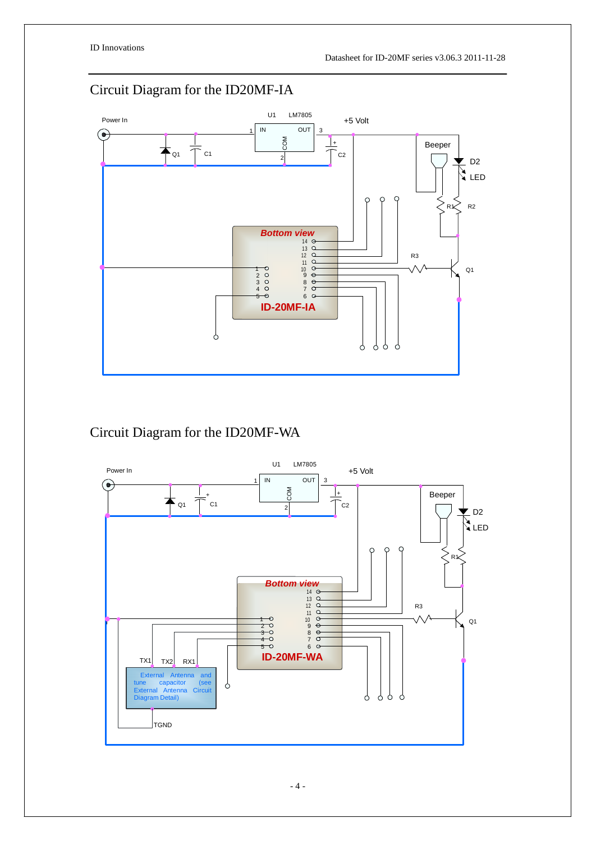### Circuit Diagram for the ID20MF-IA



#### Circuit Diagram for the ID20MF-WA

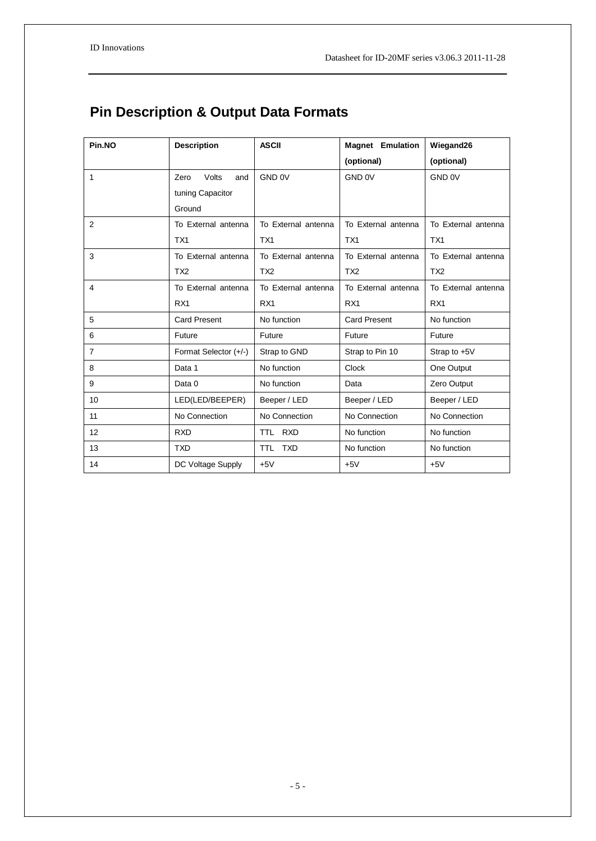# **Pin Description & Output Data Formats**

| Pin.NO         | <b>Description</b>    | <b>ASCII</b>        | <b>Magnet Emulation</b> | Wiegand26           |
|----------------|-----------------------|---------------------|-------------------------|---------------------|
|                |                       |                     | (optional)              | (optional)          |
| 1              | Volts<br>Zero<br>and  | GND 0V              | GND 0V                  | GND 0V              |
|                | tuning Capacitor      |                     |                         |                     |
|                | Ground                |                     |                         |                     |
| 2              | To External antenna   | To External antenna | To External antenna     | To External antenna |
|                | TX <sub>1</sub>       | TX <sub>1</sub>     | TX <sub>1</sub>         | TX <sub>1</sub>     |
| 3              | To External antenna   | To External antenna | To External antenna     | To External antenna |
|                | TX2                   | TX <sub>2</sub>     | TX <sub>2</sub>         | TX <sub>2</sub>     |
| 4              | To External antenna   | To External antenna | To External antenna     | To External antenna |
|                | RX <sub>1</sub>       | RX <sub>1</sub>     | RX <sub>1</sub>         | RX <sub>1</sub>     |
| 5              | <b>Card Present</b>   | No function         | <b>Card Present</b>     | No function         |
| 6              | Future                | Future              | Future                  | Future              |
| $\overline{7}$ | Format Selector (+/-) | Strap to GND        | Strap to Pin 10         | Strap to $+5V$      |
| 8              | Data 1                | No function         | <b>Clock</b>            | One Output          |
| 9              | Data 0                | No function         | Data                    | Zero Output         |
| 10             | LED(LED/BEEPER)       | Beeper / LED        | Beeper / LED            | Beeper / LED        |
| 11             | No Connection         | No Connection       | No Connection           | No Connection       |
| 12             | <b>RXD</b>            | TTL RXD             | No function             | No function         |
| 13             | <b>TXD</b>            | TTL TXD             | No function             | No function         |
| 14             | DC Voltage Supply     | $+5V$               | $+5V$                   | $+5V$               |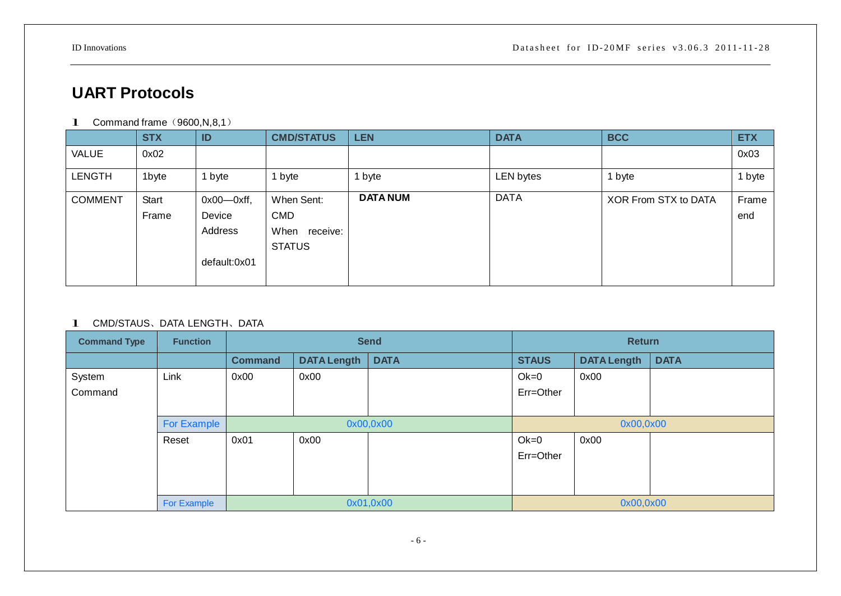# **UART Protocols**

**1** Command frame  $(9600, N, 8, 1)$ 

|                | <b>STX</b> | ID                | <b>CMD/STATUS</b> | <b>LEN</b>      | <b>DATA</b> | <b>BCC</b>           | <b>ETX</b> |
|----------------|------------|-------------------|-------------------|-----------------|-------------|----------------------|------------|
| VALUE          | 0x02       |                   |                   |                 |             |                      | 0x03       |
| <b>LENGTH</b>  | 1byte      | 1 byte            | byte              | 1 byte          | LEN bytes   | 1 byte               | 1 byte     |
| <b>COMMENT</b> | Start      | $0x00$ - $0xff$ , | When Sent:        | <b>DATA NUM</b> | <b>DATA</b> | XOR From STX to DATA | Frame      |
|                | Frame      | Device            | <b>CMD</b>        |                 |             |                      | end        |
|                |            | Address           | When<br>receive:  |                 |             |                      |            |
|                |            |                   | <b>STATUS</b>     |                 |             |                      |            |
|                |            | default:0x01      |                   |                 |             |                      |            |
|                |            |                   |                   |                 |             |                      |            |

#### 1 CMD/STAUS、DATA LENGTH、DATA

| <b>Command Type</b> | <b>Function</b> | <b>Send</b>    |                    |             | <b>Return</b> |                    |             |  |
|---------------------|-----------------|----------------|--------------------|-------------|---------------|--------------------|-------------|--|
|                     |                 | <b>Command</b> | <b>DATA Length</b> | <b>DATA</b> | <b>STAUS</b>  | <b>DATA Length</b> | <b>DATA</b> |  |
| System              | Link            | 0x00           | 0x00               |             | $Ok=0$        | 0x00               |             |  |
| Command             |                 |                |                    |             | Err=Other     |                    |             |  |
|                     |                 |                |                    |             |               |                    |             |  |
|                     | For Example     |                | 0x00,0x00          |             |               | 0x00,0x00          |             |  |
|                     | Reset           | 0x01           | 0x00               |             | $Ok=0$        | 0x00               |             |  |
|                     |                 |                |                    |             | Err=Other     |                    |             |  |
|                     |                 |                |                    |             |               |                    |             |  |
|                     |                 |                |                    |             |               |                    |             |  |
|                     | For Example     | 0x01,0x00      |                    |             | 0x00,0x00     |                    |             |  |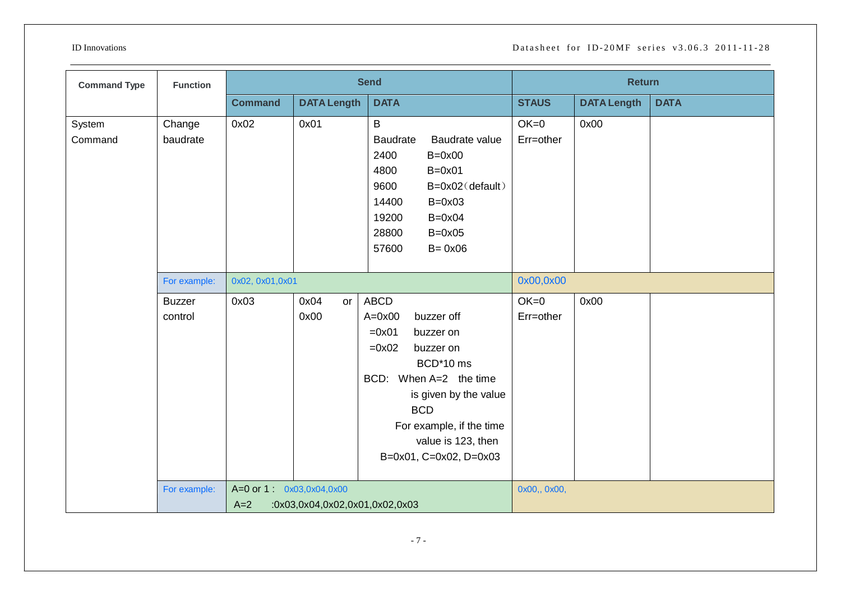| <b>Command Type</b> | <b>Function</b>          |                                   |                                | <b>Send</b>                                                                                                                                                                                                                              |                     | <b>Return</b>      |             |
|---------------------|--------------------------|-----------------------------------|--------------------------------|------------------------------------------------------------------------------------------------------------------------------------------------------------------------------------------------------------------------------------------|---------------------|--------------------|-------------|
|                     |                          | <b>Command</b>                    | <b>DATA Length</b>             | <b>DATA</b>                                                                                                                                                                                                                              | <b>STAUS</b>        | <b>DATA Length</b> | <b>DATA</b> |
| System<br>Command   | Change<br>baudrate       | 0x02                              | 0x01                           | B<br>Baudrate value<br><b>Baudrate</b><br>2400<br>$B=0x00$<br>4800<br>$B=0x01$<br>9600<br>B=0x02(default)<br>14400<br>$B=0x03$<br>$B=0x04$<br>19200<br>28800<br>$B=0x05$<br>57600<br>$B = 0x06$                                          | $OK=0$<br>Err=other | 0x00               |             |
|                     | For example:             | 0x02, 0x01, 0x01                  |                                |                                                                                                                                                                                                                                          | 0x00,0x00           |                    |             |
|                     | <b>Buzzer</b><br>control | 0x03                              | 0x04<br>or<br>0x00             | ABCD<br>$A=0x00$<br>buzzer off<br>$=0x01$<br>buzzer on<br>$=0x02$<br>buzzer on<br>BCD*10 ms<br>BCD: When A=2 the time<br>is given by the value<br><b>BCD</b><br>For example, if the time<br>value is 123, then<br>B=0x01, C=0x02, D=0x03 | $OK=0$<br>Err=other | 0x00               |             |
|                     | For example:             | A=0 or 1: 0x03,0x04,0x00<br>$A=2$ | :0x03,0x04,0x02,0x01,0x02,0x03 |                                                                                                                                                                                                                                          | 0x00,, 0x00,        |                    |             |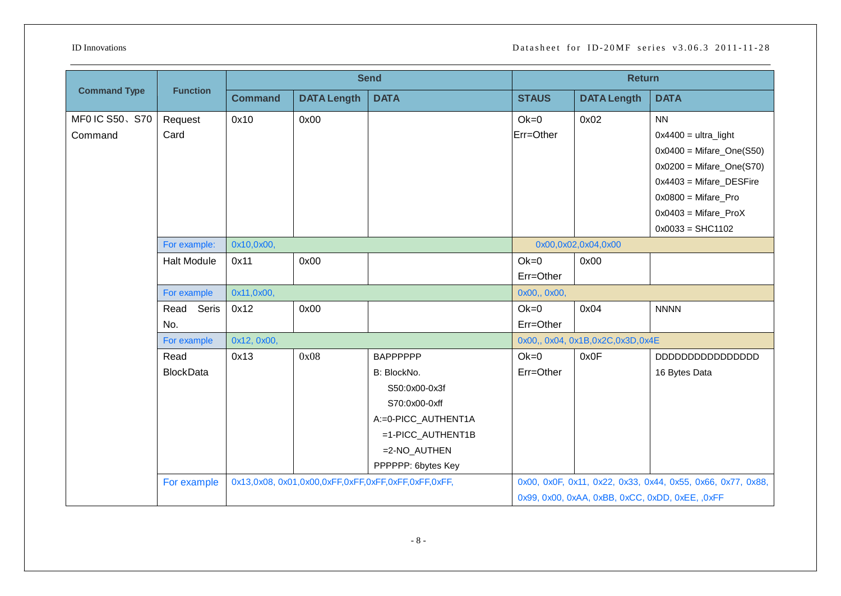|                     |                    |                |                    | <b>Send</b>         | <b>Return</b> |                                     |                                                             |  |
|---------------------|--------------------|----------------|--------------------|---------------------|---------------|-------------------------------------|-------------------------------------------------------------|--|
| <b>Command Type</b> | <b>Function</b>    | <b>Command</b> | <b>DATA Length</b> | <b>DATA</b>         | <b>STAUS</b>  | <b>DATA Length</b>                  | <b>DATA</b>                                                 |  |
| MF0 IC S50、S70      | Request            | 0x10           | 0x00               |                     | $Ok=0$        | 0x02                                | <b>NN</b>                                                   |  |
| Command             | Card               |                |                    |                     | Err=Other     |                                     | $0x4400 = $ ultra_light                                     |  |
|                     |                    |                |                    |                     |               |                                     | $0x0400 =$ Mifare_One(S50)                                  |  |
|                     |                    |                |                    |                     |               |                                     | $0x0200 =$ Mifare_One(S70)                                  |  |
|                     |                    |                |                    |                     |               |                                     | $0x4403$ = Mifare_DESFire                                   |  |
|                     |                    |                |                    |                     |               |                                     | $0x0800 =$ Mifare_Pro                                       |  |
|                     |                    |                |                    |                     |               |                                     | $0x0403$ = Mifare_ProX                                      |  |
|                     |                    |                |                    |                     |               |                                     | $0x0033 = SHC1102$                                          |  |
|                     | For example:       | 0x10,0x00,     |                    |                     |               | 0x00,0x02,0x04,0x00                 |                                                             |  |
|                     | <b>Halt Module</b> | 0x11           | 0x00               |                     | $Ok=0$        | 0x00                                |                                                             |  |
|                     |                    |                |                    |                     | Err=Other     |                                     |                                                             |  |
|                     | For example        | 0x11,0x00,     |                    |                     | 0x00,, 0x00,  |                                     |                                                             |  |
|                     | Read<br>Seris      | 0x12           | 0x00               |                     | $Ok=0$        | 0x04                                | <b>NNNN</b>                                                 |  |
|                     | No.                |                |                    |                     | Err=Other     |                                     |                                                             |  |
|                     | For example        | 0x12, 0x00,    |                    |                     |               | 0x00,, 0x04, 0x1B, 0x2C, 0x3D, 0x4E |                                                             |  |
|                     | Read               | 0x13           | 0x08               | <b>BAPPPPPP</b>     | $Ok=0$        | 0x0F                                |                                                             |  |
|                     | <b>BlockData</b>   |                |                    | B: BlockNo.         | Err=Other     |                                     | 16 Bytes Data                                               |  |
|                     |                    |                |                    | S50:0x00-0x3f       |               |                                     |                                                             |  |
|                     |                    |                |                    | S70:0x00-0xff       |               |                                     |                                                             |  |
|                     |                    |                |                    | A:=0-PICC_AUTHENT1A |               |                                     |                                                             |  |
|                     |                    |                |                    | =1-PICC_AUTHENT1B   |               |                                     |                                                             |  |
|                     |                    |                |                    | =2-NO_AUTHEN        |               |                                     |                                                             |  |
|                     |                    |                |                    | PPPPPP: 6bytes Key  |               |                                     |                                                             |  |
|                     | For example        |                |                    |                     |               |                                     | 0x00, 0x0F, 0x11, 0x22, 0x33, 0x44, 0x55, 0x66, 0x77, 0x88, |  |
|                     |                    |                |                    |                     |               |                                     | 0x99, 0x00, 0xAA, 0xBB, 0xCC, 0xDD, 0xEE, ,0xFF             |  |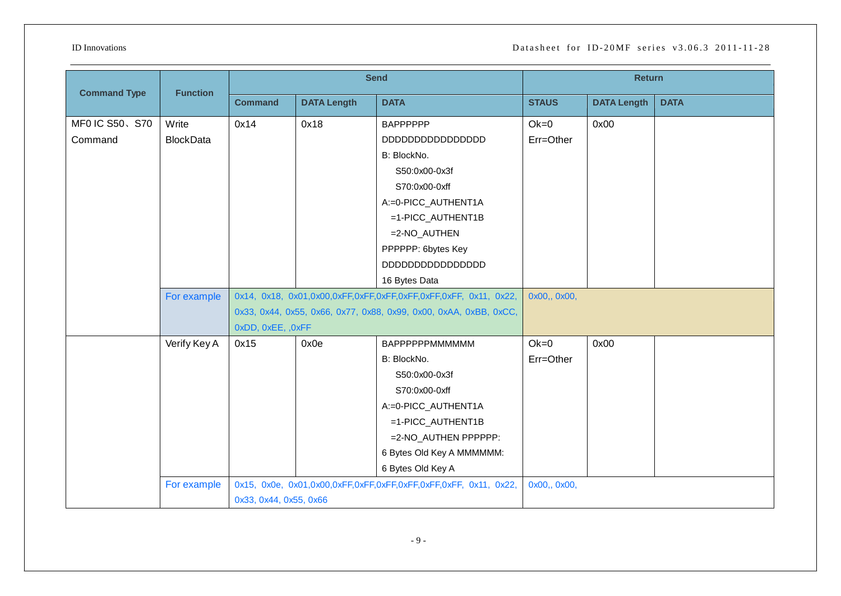| <b>Command Type</b> | <b>Function</b>  | <b>Send</b>            |                    |                                                                   | <b>Return</b> |                    |             |
|---------------------|------------------|------------------------|--------------------|-------------------------------------------------------------------|---------------|--------------------|-------------|
|                     |                  | <b>Command</b>         | <b>DATA Length</b> | <b>DATA</b>                                                       | <b>STAUS</b>  | <b>DATA Length</b> | <b>DATA</b> |
| MF0 IC S50、S70      | Write            | 0x14                   | 0x18               | <b>BAPPPPPP</b>                                                   | $Ok=0$        | 0x00               |             |
| Command             | <b>BlockData</b> |                        |                    |                                                                   | Err=Other     |                    |             |
|                     |                  |                        |                    | B: BlockNo.                                                       |               |                    |             |
|                     |                  |                        |                    | S50:0x00-0x3f                                                     |               |                    |             |
|                     |                  |                        |                    | S70:0x00-0xff                                                     |               |                    |             |
|                     |                  |                        |                    | A:=0-PICC_AUTHENT1A                                               |               |                    |             |
|                     |                  |                        |                    | =1-PICC_AUTHENT1B                                                 |               |                    |             |
|                     |                  |                        |                    | =2-NO_AUTHEN                                                      |               |                    |             |
|                     |                  |                        |                    | PPPPPP: 6bytes Key                                                |               |                    |             |
|                     |                  |                        |                    |                                                                   |               |                    |             |
|                     |                  |                        |                    | 16 Bytes Data                                                     |               |                    |             |
|                     | For example      |                        |                    |                                                                   | 0x00,, 0x00,  |                    |             |
|                     |                  |                        |                    | 0x33, 0x44, 0x55, 0x66, 0x77, 0x88, 0x99, 0x00, 0xAA, 0xBB, 0xCC, |               |                    |             |
|                     |                  | 0xDD, 0xEE, ,0xFF      |                    |                                                                   |               |                    |             |
|                     | Verify Key A     | 0x15                   | 0x0e               | BAPPPPPPMMMMMM                                                    | $Ok=0$        | 0x00               |             |
|                     |                  |                        |                    | B: BlockNo.                                                       | Err=Other     |                    |             |
|                     |                  |                        |                    | S50:0x00-0x3f                                                     |               |                    |             |
|                     |                  |                        |                    | S70:0x00-0xff                                                     |               |                    |             |
|                     |                  |                        |                    | A:=0-PICC_AUTHENT1A                                               |               |                    |             |
|                     |                  |                        |                    | =1-PICC_AUTHENT1B                                                 |               |                    |             |
|                     |                  |                        |                    | =2-NO_AUTHEN PPPPPP:                                              |               |                    |             |
|                     |                  |                        |                    | 6 Bytes Old Key A MMMMMM:                                         |               |                    |             |
|                     |                  |                        |                    | 6 Bytes Old Key A                                                 |               |                    |             |
|                     | For example      |                        |                    |                                                                   | 0x00,, 0x00,  |                    |             |
|                     |                  | 0x33, 0x44, 0x55, 0x66 |                    |                                                                   |               |                    |             |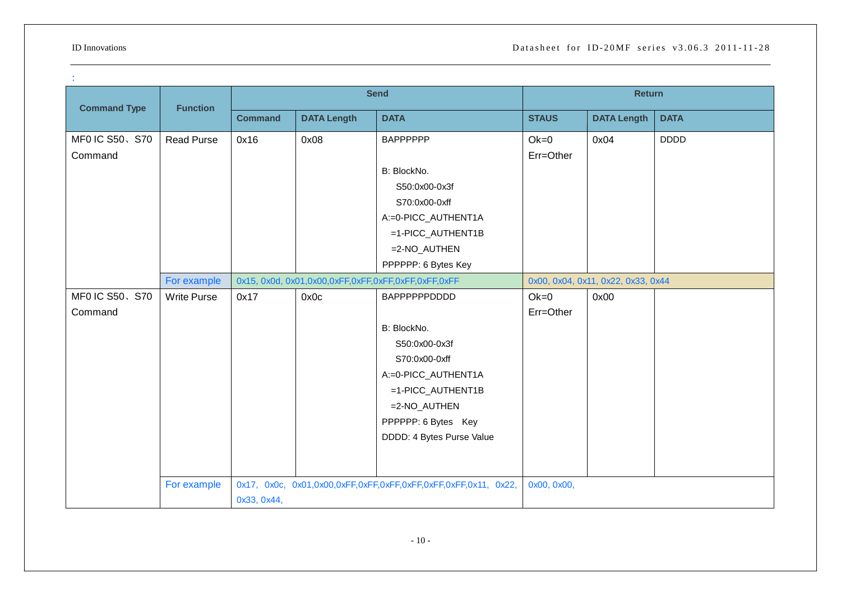|                           |                    | <b>Send</b>    |                    |                                                                                                                                                                                 | <b>Return</b>       |                                    |             |
|---------------------------|--------------------|----------------|--------------------|---------------------------------------------------------------------------------------------------------------------------------------------------------------------------------|---------------------|------------------------------------|-------------|
| <b>Command Type</b>       | <b>Function</b>    | <b>Command</b> | <b>DATA Length</b> | <b>DATA</b>                                                                                                                                                                     | <b>STAUS</b>        | <b>DATA Length</b>                 | <b>DATA</b> |
| MF0 IC S50、S70<br>Command | <b>Read Purse</b>  | 0x16           | 0x08               | <b>BAPPPPPP</b><br>B: BlockNo.<br>S50:0x00-0x3f<br>S70:0x00-0xff<br>A:=0-PICC_AUTHENT1A<br>=1-PICC_AUTHENT1B<br>$=2-NO_AUTHEN$<br>PPPPPP: 6 Bytes Key                           | $Ok=0$<br>Err=Other | 0x04                               | <b>DDDD</b> |
|                           | For example        |                |                    | 0x15, 0x0d, 0x01, 0x00, 0xFF, 0xFF, 0xFF, 0xFF, 0xFF, 0xFF                                                                                                                      |                     | 0x00, 0x04, 0x11, 0x22, 0x33, 0x44 |             |
| MF0 IC S50、S70<br>Command | <b>Write Purse</b> | 0x17           | 0x0c               | BAPPPPPPDDDD<br>B: BlockNo.<br>S50:0x00-0x3f<br>S70:0x00-0xff<br>A:=0-PICC_AUTHENT1A<br>=1-PICC_AUTHENT1B<br>$=2-NO_AUTHEN$<br>PPPPPP: 6 Bytes Key<br>DDDD: 4 Bytes Purse Value | $Ok=0$<br>Err=Other | 0x00                               |             |
|                           | For example        | 0x33, 0x44,    |                    |                                                                                                                                                                                 | 0x00, 0x00,         |                                    |             |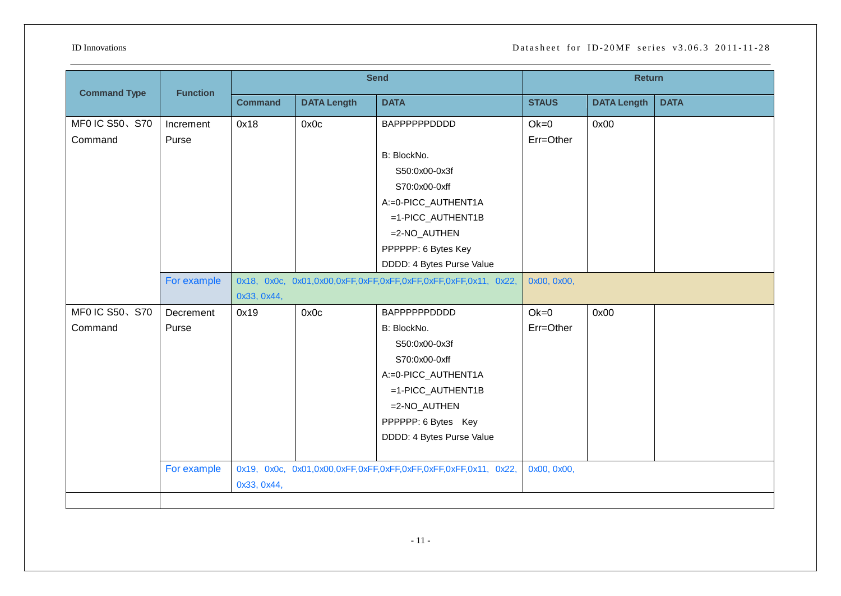| <b>Command Type</b>       | <b>Function</b>    | <b>Send</b>    |                    |                                                                                                                                                                               | <b>Return</b>       |                    |             |
|---------------------------|--------------------|----------------|--------------------|-------------------------------------------------------------------------------------------------------------------------------------------------------------------------------|---------------------|--------------------|-------------|
|                           |                    | <b>Command</b> | <b>DATA Length</b> | <b>DATA</b>                                                                                                                                                                   | <b>STAUS</b>        | <b>DATA Length</b> | <b>DATA</b> |
| MF0 IC S50、S70<br>Command | Increment<br>Purse | 0x18           | 0x0c               | BAPPPPPPDDDD<br>B: BlockNo.<br>S50:0x00-0x3f<br>S70:0x00-0xff<br>A:=0-PICC_AUTHENT1A<br>=1-PICC_AUTHENT1B<br>=2-NO_AUTHEN<br>PPPPPP: 6 Bytes Key<br>DDDD: 4 Bytes Purse Value | $Ok=0$<br>Err=Other | 0x00               |             |
|                           | For example        | 0x33, 0x44,    |                    |                                                                                                                                                                               | 0x00, 0x00,         |                    |             |
| MF0 IC S50、S70<br>Command | Decrement<br>Purse | 0x19           | 0x0c               | BAPPPPPPDDDD<br>B: BlockNo.<br>S50:0x00-0x3f<br>S70:0x00-0xff<br>A:=0-PICC_AUTHENT1A<br>=1-PICC_AUTHENT1B<br>=2-NO_AUTHEN<br>PPPPPP: 6 Bytes Key<br>DDDD: 4 Bytes Purse Value | $Ok=0$<br>Err=Other | 0x00               |             |
|                           | For example        | 0x33, 0x44,    |                    |                                                                                                                                                                               | 0x00, 0x00,         |                    |             |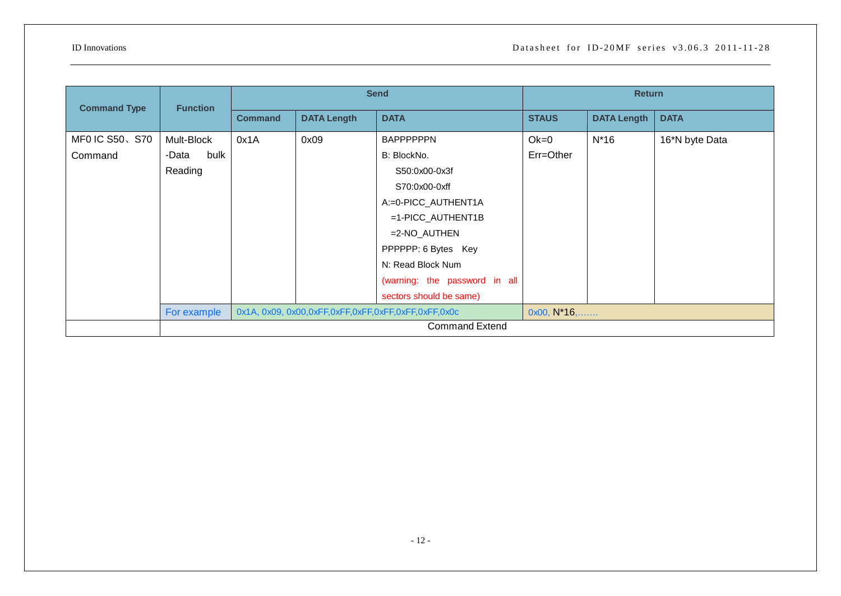|                     | <b>Function</b>       | <b>Send</b>                                                                 |                    | <b>Return</b>                 |              |                    |                |  |
|---------------------|-----------------------|-----------------------------------------------------------------------------|--------------------|-------------------------------|--------------|--------------------|----------------|--|
| <b>Command Type</b> |                       | <b>Command</b>                                                              | <b>DATA Length</b> | <b>DATA</b>                   | <b>STAUS</b> | <b>DATA Length</b> | <b>DATA</b>    |  |
| MF0 IC S50、S70      | Mult-Block            | 0x1A                                                                        | 0x09               | <b>BAPPPPPPN</b>              | $Ok=0$       | $N*16$             | 16*N byte Data |  |
| Command             | bulk<br>-Data         |                                                                             |                    | B: BlockNo.                   | Err=Other    |                    |                |  |
|                     | Reading               |                                                                             |                    | S50:0x00-0x3f                 |              |                    |                |  |
|                     |                       |                                                                             |                    | S70:0x00-0xff                 |              |                    |                |  |
|                     |                       |                                                                             |                    | A:=0-PICC_AUTHENT1A           |              |                    |                |  |
|                     |                       |                                                                             |                    | $=1$ -PICC_AUTHENT1B          |              |                    |                |  |
|                     |                       |                                                                             |                    | $=2-NO_AUTHEN$                |              |                    |                |  |
|                     |                       |                                                                             |                    | PPPPPP: 6 Bytes Key           |              |                    |                |  |
|                     |                       |                                                                             |                    | N: Read Block Num             |              |                    |                |  |
|                     |                       |                                                                             |                    | (warning: the password in all |              |                    |                |  |
|                     |                       |                                                                             |                    | sectors should be same)       |              |                    |                |  |
|                     | For example           | $0x00, N*16, \ldots$<br>0x1A, 0x09, 0x00,0xFF,0xFF,0xFF,0xFF,0xFF,0xFF,0x0c |                    |                               |              |                    |                |  |
|                     | <b>Command Extend</b> |                                                                             |                    |                               |              |                    |                |  |